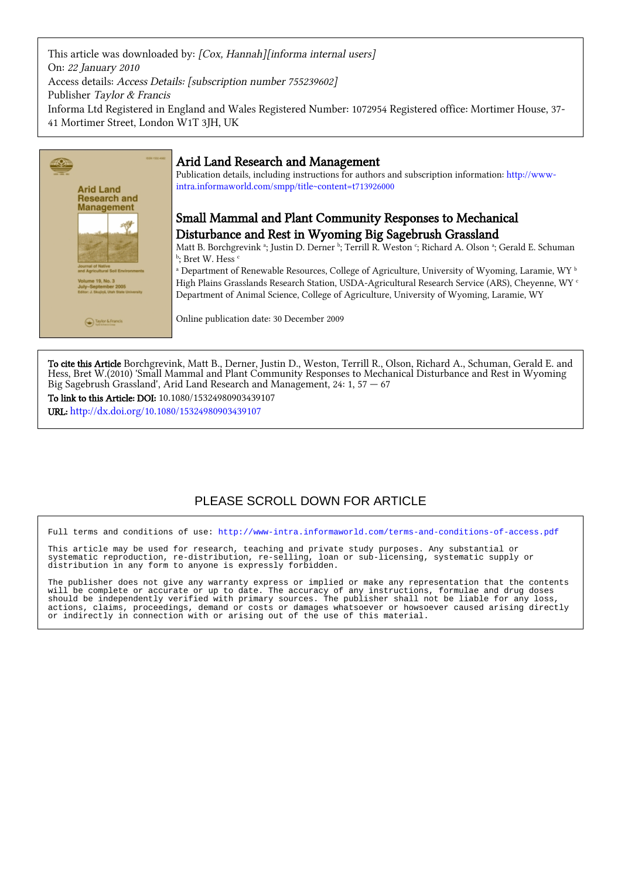This article was downloaded by: [Cox, Hannah][informa internal users] On: 22 January 2010 Access details: Access Details: [subscription number 755239602] Publisher Taylor & Francis Informa Ltd Registered in England and Wales Registered Number: 1072954 Registered office: Mortimer House, 37- 41 Mortimer Street, London W1T 3JH, UK



# Arid Land Research and Management

Publication details, including instructions for authors and subscription information: [http://www](http://www-intra.informaworld.com/smpp/title~content=t713926000)[intra.informaworld.com/smpp/title~content=t713926000](http://www-intra.informaworld.com/smpp/title~content=t713926000)

# Small Mammal and Plant Community Responses to Mechanical Disturbance and Rest in Wyoming Big Sagebrush Grassland

Matt B. Borchgrevink <sup>a</sup>; Justin D. Derner <sup>b</sup>; Terrill R. Weston <sup>c</sup>; Richard A. Olson <sup>a</sup>; Gerald E. Schuman <sup>b</sup>; Bret W. Hess <sup>c</sup>

 $^\text{a}$  Department of Renewable Resources, College of Agriculture, University of Wyoming, Laramie, WY  $^\text{b}$ High Plains Grasslands Research Station, USDA-Agricultural Research Service (ARS), Cheyenne, WY c Department of Animal Science, College of Agriculture, University of Wyoming, Laramie, WY

Online publication date: 30 December 2009

To cite this Article Borchgrevink, Matt B., Derner, Justin D., Weston, Terrill R., Olson, Richard A., Schuman, Gerald E. and Hess, Bret W.(2010) 'Small Mammal and Plant Community Responses to Mechanical Disturbance and Rest in Wyoming Big Sagebrush Grassland', Arid Land Research and Management, 24: 1, 57 — 67

To link to this Article: DOI: 10.1080/15324980903439107 URL: <http://dx.doi.org/10.1080/15324980903439107>

# PLEASE SCROLL DOWN FOR ARTICLE

Full terms and conditions of use:<http://www-intra.informaworld.com/terms-and-conditions-of-access.pdf>

This article may be used for research, teaching and private study purposes. Any substantial or systematic reproduction, re-distribution, re-selling, loan or sub-licensing, systematic supply or distribution in any form to anyone is expressly forbidden.

The publisher does not give any warranty express or implied or make any representation that the contents will be complete or accurate or up to date. The accuracy of any instructions, formulae and drug doses should be independently verified with primary sources. The publisher shall not be liable for any loss, actions, claims, proceedings, demand or costs or damages whatsoever or howsoever caused arising directly or indirectly in connection with or arising out of the use of this material.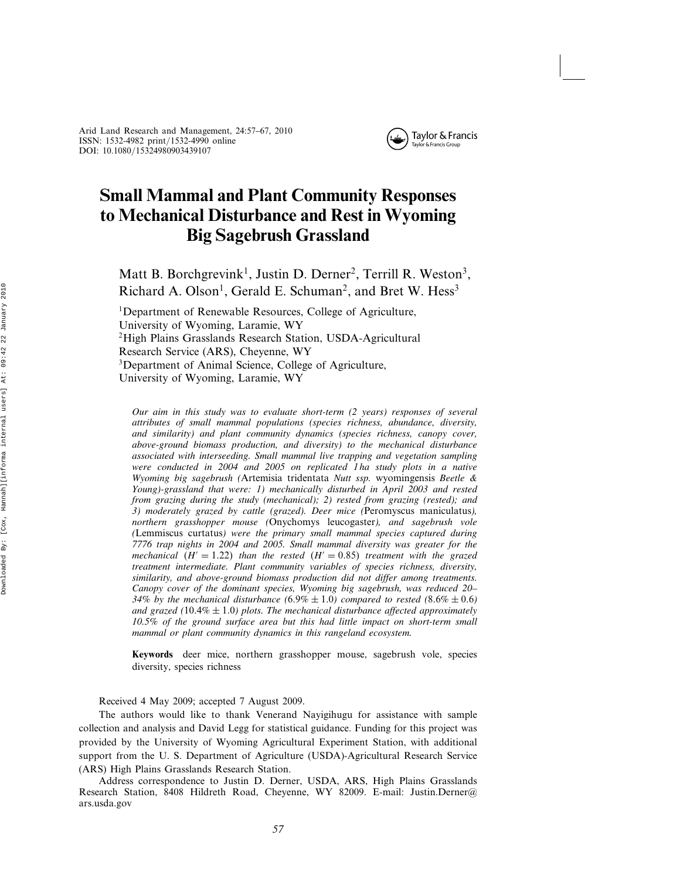

# **Small Mammal and Plant Community Responses to Mechanical Disturbance and Rest in Wyoming Big Sagebrush Grassland**

Matt B. Borchgrevink<sup>1</sup>, Justin D. Derner<sup>2</sup>, Terrill R. Weston<sup>3</sup>, Richard A. Olson<sup>1</sup>, Gerald E. Schuman<sup>2</sup>, and Bret W. Hess<sup>3</sup>

1Department of Renewable Resources, College of Agriculture, University of Wyoming, Laramie, WY 2High Plains Grasslands Research Station, USDA-Agricultural Research Service (ARS), Cheyenne, WY <sup>3</sup>Department of Animal Science, College of Agriculture, University of Wyoming, Laramie, WY

*Our aim in this study was to evaluate short-term (2 years) responses of several attributes of small mammal populations (species richness, abundance, diversity, and similarity) and plant community dynamics (species richness, canopy cover, above-ground biomass production, and diversity) to the mechanical disturbance associated with interseeding. Small mammal live trapping and vegetation sampling were conducted in 2004 and 2005 on replicated 1 ha study plots in a native Wyoming big sagebrush (*Artemisia tridentata *Nutt ssp.* wyomingensis *Beetle & Young)-grassland that were: 1) mechanically disturbed in April 2003 and rested from grazing during the study (mechanical); 2) rested from grazing (rested); and 3) moderately grazed by cattle (grazed). Deer mice (*Peromyscus maniculatus*), northern grasshopper mouse (*Onychomys leucogaster*), and sagebrush vole (*Lemmiscus curtatus*) were the primary small mammal species captured during 7776 trap nights in 2004 and 2005. Small mammal diversity was greater for the mechanical*  $(H' = 1.22)$  *than the rested*  $(H' = 0.85)$  *treatment with the grazed treatment intermediate. Plant community variables of species richness, diversity, similarity, and above-ground biomass production did not differ among treatments. Canopy cover of the dominant species, Wyoming big sagebrush, was reduced 20–* 34% by the mechanical disturbance  $(6.9\% \pm 1.0)$  compared to rested  $(8.6\% \pm 0.6)$ *and grazed (*10-4% ± 1-0*) plots. The mechanical disturbance affected approximately 10.5% of the ground surface area but this had little impact on short-term small mammal or plant community dynamics in this rangeland ecosystem.*

**Keywords** deer mice, northern grasshopper mouse, sagebrush vole, species diversity, species richness

Received 4 May 2009; accepted 7 August 2009.

The authors would like to thank Venerand Nayigihugu for assistance with sample collection and analysis and David Legg for statistical guidance. Funding for this project was provided by the University of Wyoming Agricultural Experiment Station, with additional support from the U. S. Department of Agriculture (USDA)-Agricultural Research Service (ARS) High Plains Grasslands Research Station.

Address correspondence to Justin D. Derner, USDA, ARS, High Plains Grasslands Research Station, 8408 Hildreth Road, Cheyenne, WY 82009. E-mail: Justin.Derner@ ars.usda.gov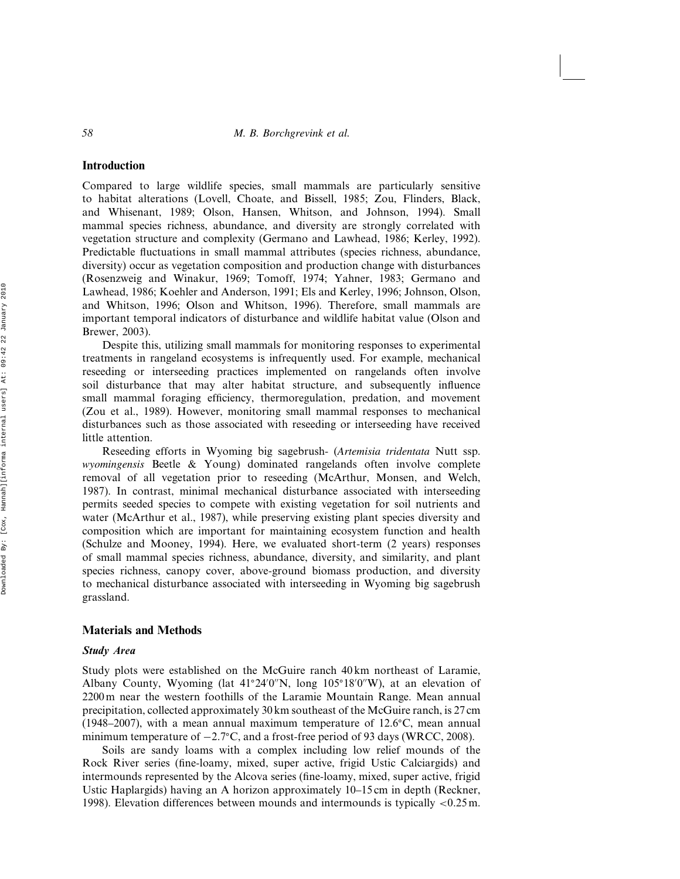## **Introduction**

Compared to large wildlife species, small mammals are particularly sensitive to habitat alterations (Lovell, Choate, and Bissell, 1985; Zou, Flinders, Black, and Whisenant, 1989; Olson, Hansen, Whitson, and Johnson, 1994). Small mammal species richness, abundance, and diversity are strongly correlated with vegetation structure and complexity (Germano and Lawhead, 1986; Kerley, 1992). Predictable fluctuations in small mammal attributes (species richness, abundance, diversity) occur as vegetation composition and production change with disturbances (Rosenzweig and Winakur, 1969; Tomoff, 1974; Yahner, 1983; Germano and Lawhead, 1986; Koehler and Anderson, 1991; Els and Kerley, 1996; Johnson, Olson, and Whitson, 1996; Olson and Whitson, 1996). Therefore, small mammals are important temporal indicators of disturbance and wildlife habitat value (Olson and Brewer, 2003).

Despite this, utilizing small mammals for monitoring responses to experimental treatments in rangeland ecosystems is infrequently used. For example, mechanical reseeding or interseeding practices implemented on rangelands often involve soil disturbance that may alter habitat structure, and subsequently influence small mammal foraging efficiency, thermoregulation, predation, and movement (Zou et al., 1989). However, monitoring small mammal responses to mechanical disturbances such as those associated with reseeding or interseeding have received little attention.

Reseeding efforts in Wyoming big sagebrush- (*Artemisia tridentata* Nutt ssp. *wyomingensis* Beetle & Young) dominated rangelands often involve complete removal of all vegetation prior to reseeding (McArthur, Monsen, and Welch, 1987). In contrast, minimal mechanical disturbance associated with interseeding permits seeded species to compete with existing vegetation for soil nutrients and water (McArthur et al., 1987), while preserving existing plant species diversity and composition which are important for maintaining ecosystem function and health (Schulze and Mooney, 1994). Here, we evaluated short-term (2 years) responses of small mammal species richness, abundance, diversity, and similarity, and plant species richness, canopy cover, above-ground biomass production, and diversity to mechanical disturbance associated with interseeding in Wyoming big sagebrush grassland.

# **Materials and Methods**

#### *Study Area*

Study plots were established on the McGuire ranch 40 km northeast of Laramie, Albany County, Wyoming (lat 41°24′0″N, long 105°18′0″W), at an elevation of 2200 m near the western foothills of the Laramie Mountain Range. Mean annual precipitation, collected approximately 30 km southeast of the McGuire ranch, is 27 cm (1948–2007), with a mean annual maximum temperature of  $12.6^{\circ}$ C, mean annual minimum temperature of −2.7°C, and a frost-free period of 93 days (WRCC, 2008).

Soils are sandy loams with a complex including low relief mounds of the Rock River series (fine-loamy, mixed, super active, frigid Ustic Calciargids) and intermounds represented by the Alcova series (fine-loamy, mixed, super active, frigid Ustic Haplargids) having an A horizon approximately 10–15 cm in depth (Reckner, 1998). Elevation differences between mounds and intermounds is typically <0-25 m.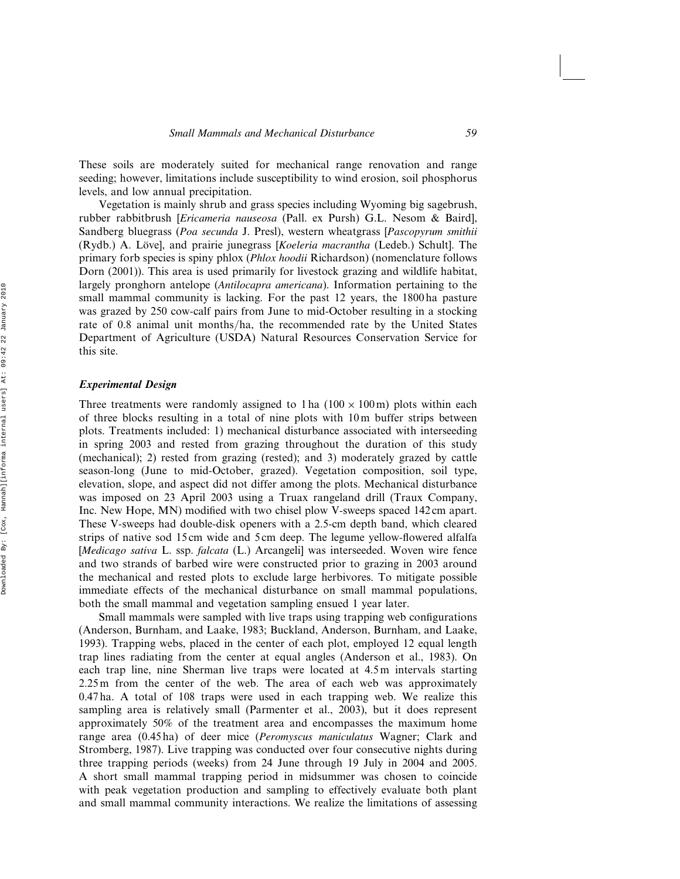These soils are moderately suited for mechanical range renovation and range seeding; however, limitations include susceptibility to wind erosion, soil phosphorus levels, and low annual precipitation.

Vegetation is mainly shrub and grass species including Wyoming big sagebrush, rubber rabbitbrush [*Ericameria nauseosa* (Pall. ex Pursh) G.L. Nesom & Baird], Sandberg bluegrass (*Poa secunda* J. Presl), western wheatgrass [*Pascopyrum smithii* (Rydb.) A. Löve], and prairie junegrass [*Koeleria macrantha* (Ledeb.) Schult]. The primary forb species is spiny phlox (*Phlox hoodii* Richardson) (nomenclature follows Dorn (2001)). This area is used primarily for livestock grazing and wildlife habitat, largely pronghorn antelope (*Antilocapra americana*). Information pertaining to the small mammal community is lacking. For the past 12 years, the 1800 ha pasture was grazed by 250 cow-calf pairs from June to mid-October resulting in a stocking rate of 0.8 animal unit months/ha, the recommended rate by the United States Department of Agriculture (USDA) Natural Resources Conservation Service for this site.

## *Experimental Design*

Three treatments were randomly assigned to 1 ha ( $100 \times 100$  m) plots within each of three blocks resulting in a total of nine plots with 10 m buffer strips between plots. Treatments included: 1) mechanical disturbance associated with interseeding in spring 2003 and rested from grazing throughout the duration of this study (mechanical); 2) rested from grazing (rested); and 3) moderately grazed by cattle season-long (June to mid-October, grazed). Vegetation composition, soil type, elevation, slope, and aspect did not differ among the plots. Mechanical disturbance was imposed on 23 April 2003 using a Truax rangeland drill (Traux Company, Inc. New Hope, MN) modified with two chisel plow V-sweeps spaced 142 cm apart. These V-sweeps had double-disk openers with a 2.5-cm depth band, which cleared strips of native sod 15 cm wide and 5 cm deep. The legume yellow-flowered alfalfa [*Medicago sativa* L. ssp. *falcata* (L.) Arcangeli] was interseeded. Woven wire fence and two strands of barbed wire were constructed prior to grazing in 2003 around the mechanical and rested plots to exclude large herbivores. To mitigate possible immediate effects of the mechanical disturbance on small mammal populations, both the small mammal and vegetation sampling ensued 1 year later.

Small mammals were sampled with live traps using trapping web configurations (Anderson, Burnham, and Laake, 1983; Buckland, Anderson, Burnham, and Laake, 1993). Trapping webs, placed in the center of each plot, employed 12 equal length trap lines radiating from the center at equal angles (Anderson et al., 1983). On each trap line, nine Sherman live traps were located at 4.5 m intervals starting 2.25 m from the center of the web. The area of each web was approximately 0.47 ha. A total of 108 traps were used in each trapping web. We realize this sampling area is relatively small (Parmenter et al., 2003), but it does represent approximately 50% of the treatment area and encompasses the maximum home range area (0.45 ha) of deer mice (*Peromyscus maniculatus* Wagner; Clark and Stromberg, 1987). Live trapping was conducted over four consecutive nights during three trapping periods (weeks) from 24 June through 19 July in 2004 and 2005. A short small mammal trapping period in midsummer was chosen to coincide with peak vegetation production and sampling to effectively evaluate both plant and small mammal community interactions. We realize the limitations of assessing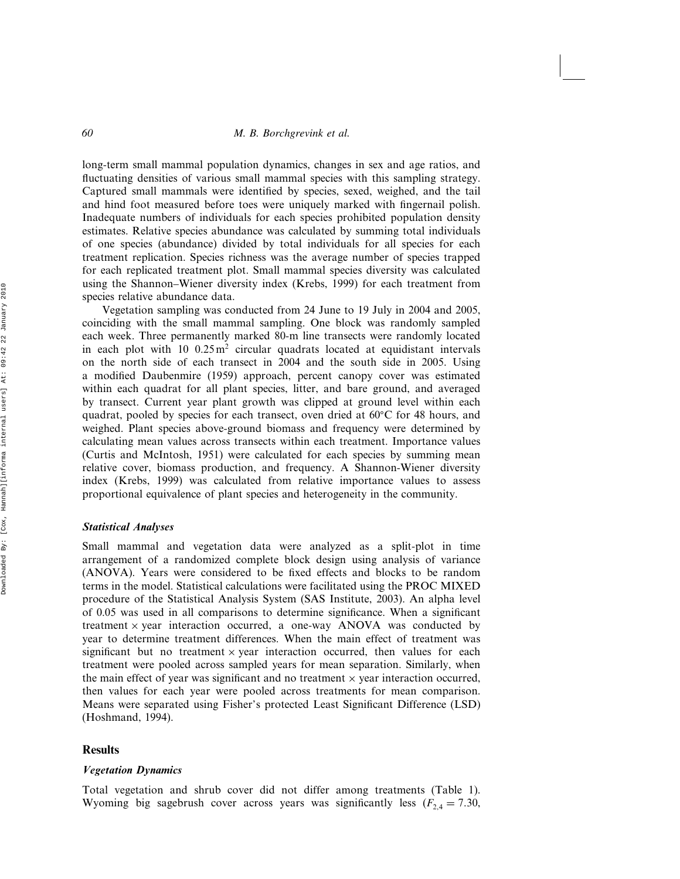long-term small mammal population dynamics, changes in sex and age ratios, and fluctuating densities of various small mammal species with this sampling strategy. Captured small mammals were identified by species, sexed, weighed, and the tail and hind foot measured before toes were uniquely marked with fingernail polish. Inadequate numbers of individuals for each species prohibited population density estimates. Relative species abundance was calculated by summing total individuals of one species (abundance) divided by total individuals for all species for each treatment replication. Species richness was the average number of species trapped for each replicated treatment plot. Small mammal species diversity was calculated using the Shannon–Wiener diversity index (Krebs, 1999) for each treatment from species relative abundance data.

Vegetation sampling was conducted from 24 June to 19 July in 2004 and 2005, coinciding with the small mammal sampling. One block was randomly sampled each week. Three permanently marked 80-m line transects were randomly located in each plot with 10  $0.25 \,\mathrm{m}^2$  circular quadrats located at equidistant intervals on the north side of each transect in 2004 and the south side in 2005. Using a modified Daubenmire (1959) approach, percent canopy cover was estimated within each quadrat for all plant species, litter, and bare ground, and averaged by transect. Current year plant growth was clipped at ground level within each quadrat, pooled by species for each transect, oven dried at 60°C for 48 hours, and weighed. Plant species above-ground biomass and frequency were determined by calculating mean values across transects within each treatment. Importance values (Curtis and McIntosh, 1951) were calculated for each species by summing mean relative cover, biomass production, and frequency. A Shannon-Wiener diversity index (Krebs, 1999) was calculated from relative importance values to assess proportional equivalence of plant species and heterogeneity in the community.

#### *Statistical Analyses*

Small mammal and vegetation data were analyzed as a split-plot in time arrangement of a randomized complete block design using analysis of variance (ANOVA). Years were considered to be fixed effects and blocks to be random terms in the model. Statistical calculations were facilitated using the PROC MIXED procedure of the Statistical Analysis System (SAS Institute, 2003). An alpha level of 0.05 was used in all comparisons to determine significance. When a significant treatment  $\times$  year interaction occurred, a one-way ANOVA was conducted by year to determine treatment differences. When the main effect of treatment was significant but no treatment  $\times$  year interaction occurred, then values for each treatment were pooled across sampled years for mean separation. Similarly, when the main effect of year was significant and no treatment  $\times$  year interaction occurred, then values for each year were pooled across treatments for mean comparison. Means were separated using Fisher's protected Least Significant Difference (LSD) (Hoshmand, 1994).

#### **Results**

#### *Vegetation Dynamics*

Total vegetation and shrub cover did not differ among treatments (Table 1). Wyoming big sagebrush cover across years was significantly less  $(F_{2,4} = 7.30,$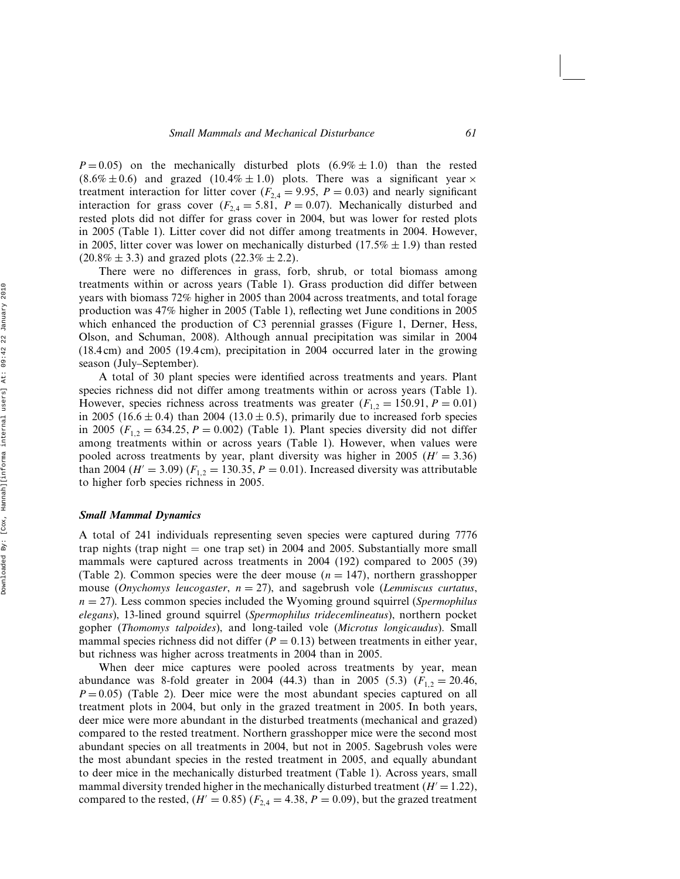$P = 0.05$ ) on the mechanically disturbed plots  $(6.9\% \pm 1.0)$  than the rested  $(8.6\% \pm 0.6)$  and grazed  $(10.4\% \pm 1.0)$  plots. There was a significant year  $\times$ treatment interaction for litter cover ( $F_{2,4} = 9.95$ ,  $P = 0.03$ ) and nearly significant interaction for grass cover  $(F_{2,4} = 5.81, P = 0.07)$ . Mechanically disturbed and rested plots did not differ for grass cover in 2004, but was lower for rested plots in 2005 (Table 1). Litter cover did not differ among treatments in 2004. However, in 2005, litter cover was lower on mechanically disturbed  $(17.5\% \pm 1.9)$  than rested  $(20.8\% \pm 3.3)$  and grazed plots  $(22.3\% \pm 2.2)$ .

There were no differences in grass, forb, shrub, or total biomass among treatments within or across years (Table 1). Grass production did differ between years with biomass 72% higher in 2005 than 2004 across treatments, and total forage production was 47% higher in 2005 (Table 1), reflecting wet June conditions in 2005 which enhanced the production of C3 perennial grasses (Figure 1, Derner, Hess, Olson, and Schuman, 2008). Although annual precipitation was similar in 2004 (18.4 cm) and 2005 (19.4 cm), precipitation in 2004 occurred later in the growing season (July–September).

A total of 30 plant species were identified across treatments and years. Plant species richness did not differ among treatments within or across years (Table 1). However, species richness across treatments was greater  $(F_{1,2} = 150.91, P = 0.01)$ in 2005  $(16.6 \pm 0.4)$  than 2004  $(13.0 \pm 0.5)$ , primarily due to increased forb species in 2005  $(F_{1,2} = 634.25, P = 0.002)$  (Table 1). Plant species diversity did not differ among treatments within or across years (Table 1). However, when values were pooled across treatments by year, plant diversity was higher in 2005 ( $H' = 3.36$ ) than 2004 ( $H' = 3.09$ ) ( $F_{1,2} = 130.35$ ,  $P = 0.01$ ). Increased diversity was attributable to higher forb species richness in 2005.

#### *Small Mammal Dynamics*

A total of 241 individuals representing seven species were captured during 7776 trap nights (trap night  $=$  one trap set) in 2004 and 2005. Substantially more small mammals were captured across treatments in 2004 (192) compared to 2005 (39) (Table 2). Common species were the deer mouse  $(n = 147)$ , northern grasshopper mouse (*Onychomys leucogaster*, n = 27), and sagebrush vole (*Lemmiscus curtatus*, n = 27). Less common species included the Wyoming ground squirrel (*Spermophilus elegans*), 13-lined ground squirrel (*Spermophilus tridecemlineatus*), northern pocket gopher (*Thomomys talpoides*), and long-tailed vole (*Microtus longicaudus*). Small mammal species richness did not differ  $(P = 0.13)$  between treatments in either year, but richness was higher across treatments in 2004 than in 2005.

When deer mice captures were pooled across treatments by year, mean abundance was 8-fold greater in 2004 (44.3) than in 2005 (5.3)  $(F_{1,2} = 20.46,$  $P = 0.05$ ) (Table 2). Deer mice were the most abundant species captured on all treatment plots in 2004, but only in the grazed treatment in 2005. In both years, deer mice were more abundant in the disturbed treatments (mechanical and grazed) compared to the rested treatment. Northern grasshopper mice were the second most abundant species on all treatments in 2004, but not in 2005. Sagebrush voles were the most abundant species in the rested treatment in 2005, and equally abundant to deer mice in the mechanically disturbed treatment (Table 1). Across years, small mammal diversity trended higher in the mechanically disturbed treatment  $(H' = 1.22)$ , compared to the rested,  $(H' = 0.85)$   $(F_{2,4} = 4.38, P = 0.09)$ , but the grazed treatment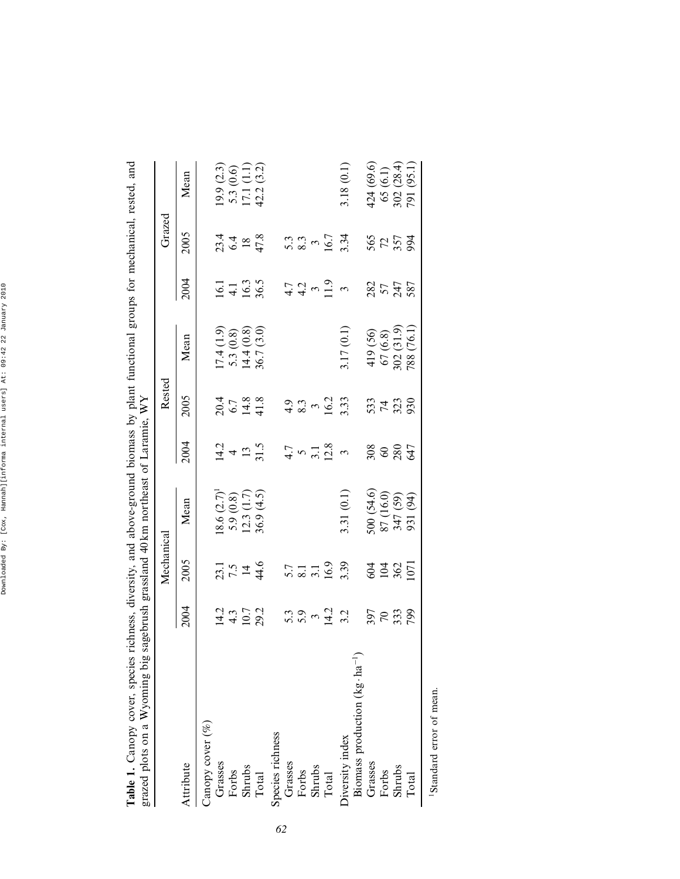| Table 1. Canopy cover, species richness, diversity, and above-ground biomass by plant functional groups for mechanical, rested, and<br>grazed plots on a Wyoming big sagebrush grassland 40 km northeast of Laramie, WY |                             |                          |                                                                 |                            |                                    |                                                       |                                     |                                          |                                                             |
|-------------------------------------------------------------------------------------------------------------------------------------------------------------------------------------------------------------------------|-----------------------------|--------------------------|-----------------------------------------------------------------|----------------------------|------------------------------------|-------------------------------------------------------|-------------------------------------|------------------------------------------|-------------------------------------------------------------|
|                                                                                                                                                                                                                         |                             | Mechanical               |                                                                 |                            | Rested                             |                                                       |                                     | Grazed                                   |                                                             |
| Attribute                                                                                                                                                                                                               | 2004                        | 2005                     | Mean                                                            | 2004                       | 2005                               | Mean                                                  | 2004                                | 2005                                     | Mean                                                        |
| Canopy cover (%)                                                                                                                                                                                                        |                             |                          |                                                                 |                            |                                    |                                                       |                                     |                                          |                                                             |
| Grasses                                                                                                                                                                                                                 |                             |                          |                                                                 |                            |                                    |                                                       |                                     |                                          |                                                             |
| Forbs                                                                                                                                                                                                                   |                             |                          |                                                                 |                            |                                    |                                                       |                                     |                                          |                                                             |
| Shrubs                                                                                                                                                                                                                  | $14.3$<br>$14.7$<br>$29.2$  | $7.5$<br>$7.5$<br>$4.6$  |                                                                 | $14.2$<br>$4 \frac{13}{5}$ | $20.4$<br>$6.7$<br>$6.3$<br>$41.8$ | $17.4$ (1.9)<br>5.3 (0.8)<br>14.4 (0.8)<br>36.7 (3.0) | $16.1$<br>$4.1$<br>$16.3$<br>$36.5$ | $23.4$<br>6.4<br>18                      |                                                             |
| Total                                                                                                                                                                                                                   |                             |                          | $18.6$ $(2.7)^1$<br>5.9 $(0.8)$<br>12.3 $(1.7)$<br>36.9 $(4.5)$ |                            |                                    | (3.0)                                                 |                                     | 47.8                                     | 19.9 $(2.3)$<br>5.3 $(0.6)$<br>17.1 $(1.1)$<br>42.2 $(3.2)$ |
| Species richness                                                                                                                                                                                                        |                             |                          |                                                                 |                            |                                    |                                                       |                                     |                                          |                                                             |
| Grasses                                                                                                                                                                                                                 |                             |                          |                                                                 |                            |                                    |                                                       |                                     |                                          |                                                             |
| Forbs                                                                                                                                                                                                                   |                             | $5.7$<br>$8.1$<br>$16.9$ |                                                                 | $4.7$<br>5.1<br>12.8       | $\frac{4.9}{8.3}$ $\frac{3}{16.2}$ |                                                       |                                     | 5.3<br>$\frac{3}{8}$ 3<br>$\frac{5}{16}$ |                                                             |
| Shrubs                                                                                                                                                                                                                  |                             |                          |                                                                 |                            |                                    |                                                       |                                     |                                          |                                                             |
| Total                                                                                                                                                                                                                   | 5.9<br>5.9<br>$\frac{3}{4}$ |                          |                                                                 |                            |                                    |                                                       |                                     |                                          |                                                             |
| Diversity index                                                                                                                                                                                                         | 3.2                         | 3.39                     | 3.31(0.1)                                                       | $\mathfrak{g}$             | 3.33                               | 3.17(0.1)                                             | $\mathfrak{g}$                      | 3.34                                     | 3.18 (0.1)                                                  |
| Biomass production $(kg \cdot ha^{-1})$                                                                                                                                                                                 |                             |                          |                                                                 |                            |                                    |                                                       |                                     |                                          |                                                             |
| Grasses                                                                                                                                                                                                                 |                             |                          | 500 (54.6)                                                      |                            |                                    | 419 (56)                                              |                                     |                                          | 424 (69.6)                                                  |
| Forbs                                                                                                                                                                                                                   |                             | 31.8                     | 87 (16.0)                                                       |                            |                                    | $67(6.8)$<br>$302(31.9)$                              |                                     |                                          |                                                             |
| Shrubs                                                                                                                                                                                                                  | 562<br>2836<br>285          |                          | 347 (59)                                                        | 22<br>22<br>22             | 533<br>74<br>523<br>930            |                                                       | 287<br>57<br>587                    | 562<br>757<br>935                        | 65 (6.1)<br>302 (28.4)<br>791 (95.1)                        |
| Total                                                                                                                                                                                                                   |                             | 07                       | 931 (94)                                                        |                            |                                    | 788 (76.1)                                            |                                     |                                          | (95.1)                                                      |
|                                                                                                                                                                                                                         |                             |                          |                                                                 |                            |                                    |                                                       |                                     |                                          |                                                             |

1Standard error of mean. 1Standard error of mean.

Downloaded By: [Cox, Hannah][informa internal users] At: 09:42 22 January 2010 Downloaded By: [Cox, Hannah][informa internal users] At: 09:42 22 January 2010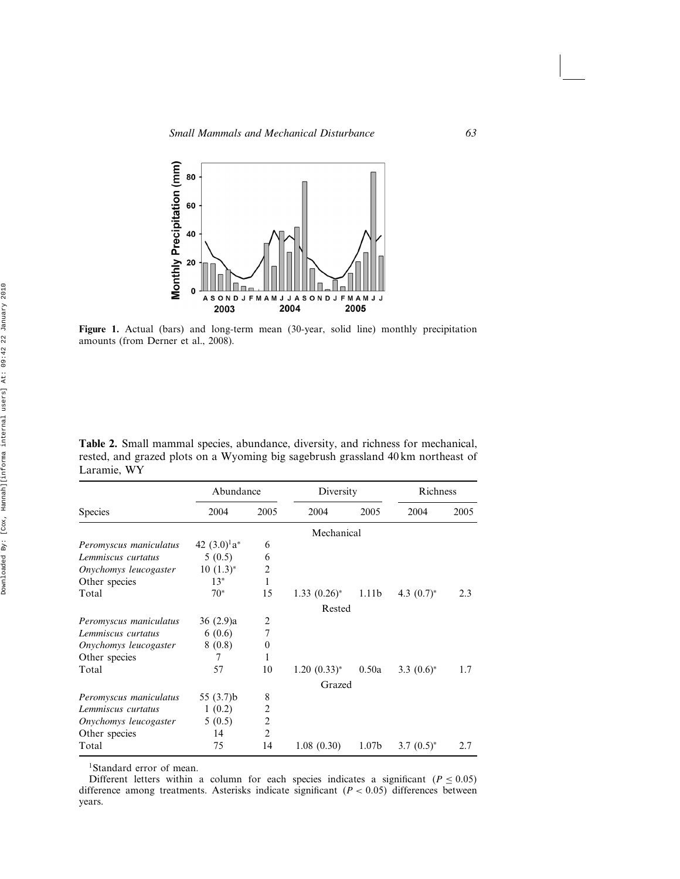

**Figure 1.** Actual (bars) and long-term mean (30-year, solid line) monthly precipitation amounts (from Derner et al., 2008).

|                        | Abundance                   |                | Diversity        |                   | Richness      |      |  |
|------------------------|-----------------------------|----------------|------------------|-------------------|---------------|------|--|
| <b>Species</b>         | 2004                        | 2005           | 2004             | 2005              | 2004          | 2005 |  |
|                        |                             |                | Mechanical       |                   |               |      |  |
| Peromyscus maniculatus | 42 $(3.0)^1$ a <sup>*</sup> | 6              |                  |                   |               |      |  |
| Lemmiscus curtatus     | 5(0.5)                      | 6              |                  |                   |               |      |  |
| Onychomys leucogaster  | $10(1.3)^*$                 | 2              |                  |                   |               |      |  |
| Other species          | $13*$                       |                |                  |                   |               |      |  |
| Total                  | $70*$                       | 15             | $1.33(0.26)^{*}$ | 1.11 <sub>b</sub> | 4.3 $(0.7)^*$ | 2.3  |  |
|                        |                             | Rested         |                  |                   |               |      |  |
| Peromyscus maniculatus | 36(2.9)a                    | 2              |                  |                   |               |      |  |
| Lemmiscus curtatus     | 6(0.6)                      | 7              |                  |                   |               |      |  |
| Onychomys leucogaster  | 8(0.8)                      | $\Omega$       |                  |                   |               |      |  |
| Other species          | 7                           | 1              |                  |                   |               |      |  |
| Total                  | 57                          | 10             | $1.20~(0.33)^*$  | 0.50a             | 3.3 $(0.6)^*$ | 1.7  |  |
|                        |                             |                | Grazed           |                   |               |      |  |
| Peromyscus maniculatus | 55 $(3.7)b$                 | 8              |                  |                   |               |      |  |
| Lemmiscus curtatus     | 1(0.2)                      | 2              |                  |                   |               |      |  |
| Onychomys leucogaster  | 5(0.5)                      | $\overline{2}$ |                  |                   |               |      |  |
| Other species          | 14                          | $\mathfrak{D}$ |                  |                   |               |      |  |
| Total                  | 75                          | 14             | 1.08(0.30)       | 1.07 <sub>b</sub> | $3.7(0.5)^*$  | 2.7  |  |

**Table 2.** Small mammal species, abundance, diversity, and richness for mechanical, rested, and grazed plots on a Wyoming big sagebrush grassland 40 km northeast of Laramie, WY

<sup>1</sup>Standard error of mean.

Different letters within a column for each species indicates a significant ( $P \le 0.05$ ) difference among treatments. Asterisks indicate significant  $(P < 0.05)$  differences between years.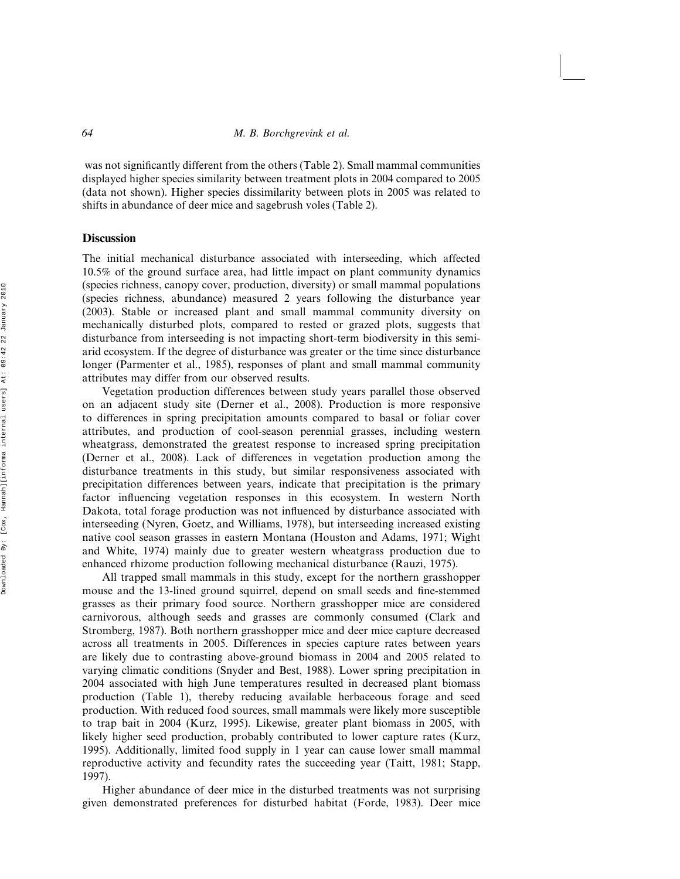was not significantly different from the others (Table 2). Small mammal communities displayed higher species similarity between treatment plots in 2004 compared to 2005 (data not shown). Higher species dissimilarity between plots in 2005 was related to shifts in abundance of deer mice and sagebrush voles (Table 2).

## **Discussion**

The initial mechanical disturbance associated with interseeding, which affected 10.5% of the ground surface area, had little impact on plant community dynamics (species richness, canopy cover, production, diversity) or small mammal populations (species richness, abundance) measured 2 years following the disturbance year (2003). Stable or increased plant and small mammal community diversity on mechanically disturbed plots, compared to rested or grazed plots, suggests that disturbance from interseeding is not impacting short-term biodiversity in this semiarid ecosystem. If the degree of disturbance was greater or the time since disturbance longer (Parmenter et al., 1985), responses of plant and small mammal community attributes may differ from our observed results.

Vegetation production differences between study years parallel those observed on an adjacent study site (Derner et al., 2008). Production is more responsive to differences in spring precipitation amounts compared to basal or foliar cover attributes, and production of cool-season perennial grasses, including western wheatgrass, demonstrated the greatest response to increased spring precipitation (Derner et al., 2008). Lack of differences in vegetation production among the disturbance treatments in this study, but similar responsiveness associated with precipitation differences between years, indicate that precipitation is the primary factor influencing vegetation responses in this ecosystem. In western North Dakota, total forage production was not influenced by disturbance associated with interseeding (Nyren, Goetz, and Williams, 1978), but interseeding increased existing native cool season grasses in eastern Montana (Houston and Adams, 1971; Wight and White, 1974) mainly due to greater western wheatgrass production due to enhanced rhizome production following mechanical disturbance (Rauzi, 1975).

All trapped small mammals in this study, except for the northern grasshopper mouse and the 13-lined ground squirrel, depend on small seeds and fine-stemmed grasses as their primary food source. Northern grasshopper mice are considered carnivorous, although seeds and grasses are commonly consumed (Clark and Stromberg, 1987). Both northern grasshopper mice and deer mice capture decreased across all treatments in 2005. Differences in species capture rates between years are likely due to contrasting above-ground biomass in 2004 and 2005 related to varying climatic conditions (Snyder and Best, 1988). Lower spring precipitation in 2004 associated with high June temperatures resulted in decreased plant biomass production (Table 1), thereby reducing available herbaceous forage and seed production. With reduced food sources, small mammals were likely more susceptible to trap bait in 2004 (Kurz, 1995). Likewise, greater plant biomass in 2005, with likely higher seed production, probably contributed to lower capture rates (Kurz, 1995). Additionally, limited food supply in 1 year can cause lower small mammal reproductive activity and fecundity rates the succeeding year (Taitt, 1981; Stapp, 1997).

Higher abundance of deer mice in the disturbed treatments was not surprising given demonstrated preferences for disturbed habitat (Forde, 1983). Deer mice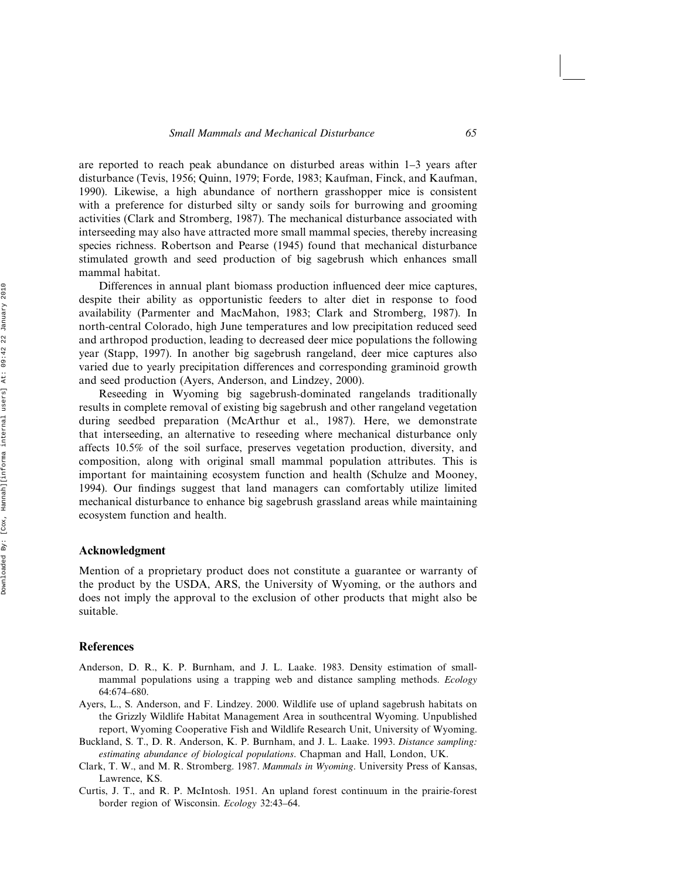are reported to reach peak abundance on disturbed areas within 1–3 years after disturbance (Tevis, 1956; Quinn, 1979; Forde, 1983; Kaufman, Finck, and Kaufman, 1990). Likewise, a high abundance of northern grasshopper mice is consistent with a preference for disturbed silty or sandy soils for burrowing and grooming activities (Clark and Stromberg, 1987). The mechanical disturbance associated with interseeding may also have attracted more small mammal species, thereby increasing species richness. Robertson and Pearse (1945) found that mechanical disturbance stimulated growth and seed production of big sagebrush which enhances small mammal habitat.

Differences in annual plant biomass production influenced deer mice captures, despite their ability as opportunistic feeders to alter diet in response to food availability (Parmenter and MacMahon, 1983; Clark and Stromberg, 1987). In north-central Colorado, high June temperatures and low precipitation reduced seed and arthropod production, leading to decreased deer mice populations the following year (Stapp, 1997). In another big sagebrush rangeland, deer mice captures also varied due to yearly precipitation differences and corresponding graminoid growth and seed production (Ayers, Anderson, and Lindzey, 2000).

Reseeding in Wyoming big sagebrush-dominated rangelands traditionally results in complete removal of existing big sagebrush and other rangeland vegetation during seedbed preparation (McArthur et al., 1987). Here, we demonstrate that interseeding, an alternative to reseeding where mechanical disturbance only affects 10.5% of the soil surface, preserves vegetation production, diversity, and composition, along with original small mammal population attributes. This is important for maintaining ecosystem function and health (Schulze and Mooney, 1994). Our findings suggest that land managers can comfortably utilize limited mechanical disturbance to enhance big sagebrush grassland areas while maintaining ecosystem function and health.

#### **Acknowledgment**

Mention of a proprietary product does not constitute a guarantee or warranty of the product by the USDA, ARS, the University of Wyoming, or the authors and does not imply the approval to the exclusion of other products that might also be suitable.

## **References**

- Anderson, D. R., K. P. Burnham, and J. L. Laake. 1983. Density estimation of smallmammal populations using a trapping web and distance sampling methods. *Ecology* 64:674–680.
- Ayers, L., S. Anderson, and F. Lindzey. 2000. Wildlife use of upland sagebrush habitats on the Grizzly Wildlife Habitat Management Area in southcentral Wyoming. Unpublished report, Wyoming Cooperative Fish and Wildlife Research Unit, University of Wyoming.
- Buckland, S. T., D. R. Anderson, K. P. Burnham, and J. L. Laake. 1993. *Distance sampling: estimating abundance of biological populations*. Chapman and Hall, London, UK.
- Clark, T. W., and M. R. Stromberg. 1987. *Mammals in Wyoming*. University Press of Kansas, Lawrence, KS.
- Curtis, J. T., and R. P. McIntosh. 1951. An upland forest continuum in the prairie-forest border region of Wisconsin. *Ecology* 32:43–64.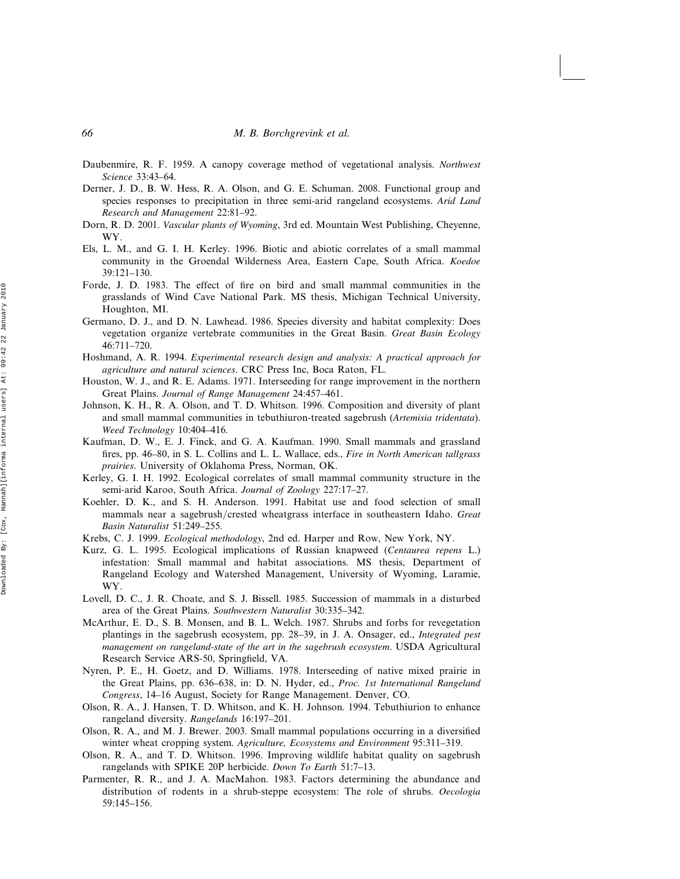- Daubenmire, R. F. 1959. A canopy coverage method of vegetational analysis. *Northwest Science* 33:43–64.
- Derner, J. D., B. W. Hess, R. A. Olson, and G. E. Schuman. 2008. Functional group and species responses to precipitation in three semi-arid rangeland ecosystems. *Arid Land Research and Management* 22:81–92.
- Dorn, R. D. 2001. *Vascular plants of Wyoming*, 3rd ed. Mountain West Publishing, Cheyenne, WY.
- Els, L. M., and G. I. H. Kerley. 1996. Biotic and abiotic correlates of a small mammal community in the Groendal Wilderness Area, Eastern Cape, South Africa. *Koedoe* 39:121–130.
- Forde, J. D. 1983. The effect of fire on bird and small mammal communities in the grasslands of Wind Cave National Park. MS thesis, Michigan Technical University, Houghton, MI.
- Germano, D. J., and D. N. Lawhead. 1986. Species diversity and habitat complexity: Does vegetation organize vertebrate communities in the Great Basin. *Great Basin Ecology* 46:711–720.
- Hoshmand, A. R. 1994. *Experimental research design and analysis: A practical approach for agriculture and natural sciences*. CRC Press Inc, Boca Raton, FL.
- Houston, W. J., and R. E. Adams. 1971. Interseeding for range improvement in the northern Great Plains. *Journal of Range Management* 24:457–461.
- Johnson, K. H., R. A. Olson, and T. D. Whitson. 1996. Composition and diversity of plant and small mammal communities in tebuthiuron-treated sagebrush (*Artemisia tridentata*). *Weed Technology* 10:404–416.
- Kaufman, D. W., E. J. Finck, and G. A. Kaufman. 1990. Small mammals and grassland fires, pp. 46–80, in S. L. Collins and L. L. Wallace, eds., *Fire in North American tallgrass prairies*. University of Oklahoma Press, Norman, OK.
- Kerley, G. I. H. 1992. Ecological correlates of small mammal community structure in the semi-arid Karoo, South Africa. *Journal of Zoology* 227:17–27.
- Koehler, D. K., and S. H. Anderson. 1991. Habitat use and food selection of small mammals near a sagebrush/crested wheatgrass interface in southeastern Idaho. *Great Basin Naturalist* 51:249–255.
- Krebs, C. J. 1999. *Ecological methodology*, 2nd ed. Harper and Row, New York, NY.
- Kurz, G. L. 1995. Ecological implications of Russian knapweed (*Centaurea repens* L.) infestation: Small mammal and habitat associations. MS thesis, Department of Rangeland Ecology and Watershed Management, University of Wyoming, Laramie, WY.
- Lovell, D. C., J. R. Choate, and S. J. Bissell. 1985. Succession of mammals in a disturbed area of the Great Plains. *Southwestern Naturalist* 30:335–342.
- McArthur, E. D., S. B. Monsen, and B. L. Welch. 1987. Shrubs and forbs for revegetation plantings in the sagebrush ecosystem, pp. 28–39, in J. A. Onsager, ed., *Integrated pest management on rangeland-state of the art in the sagebrush ecosystem*. USDA Agricultural Research Service ARS-50, Springfield, VA.
- Nyren, P. E., H. Goetz, and D. Williams. 1978. Interseeding of native mixed prairie in the Great Plains, pp. 636–638, in: D. N. Hyder, ed., *Proc. 1st International Rangeland Congress*, 14–16 August, Society for Range Management. Denver, CO.
- Olson, R. A., J. Hansen, T. D. Whitson, and K. H. Johnson. 1994. Tebuthiurion to enhance rangeland diversity. *Rangelands* 16:197–201.
- Olson, R. A., and M. J. Brewer. 2003. Small mammal populations occurring in a diversified winter wheat cropping system. *Agriculture, Ecosystems and Environment* 95:311–319.
- Olson, R. A., and T. D. Whitson. 1996. Improving wildlife habitat quality on sagebrush rangelands with SPIKE 20P herbicide. *Down To Earth* 51:7–13.
- Parmenter, R. R., and J. A. MacMahon. 1983. Factors determining the abundance and distribution of rodents in a shrub-steppe ecosystem: The role of shrubs. *Oecologia* 59:145–156.